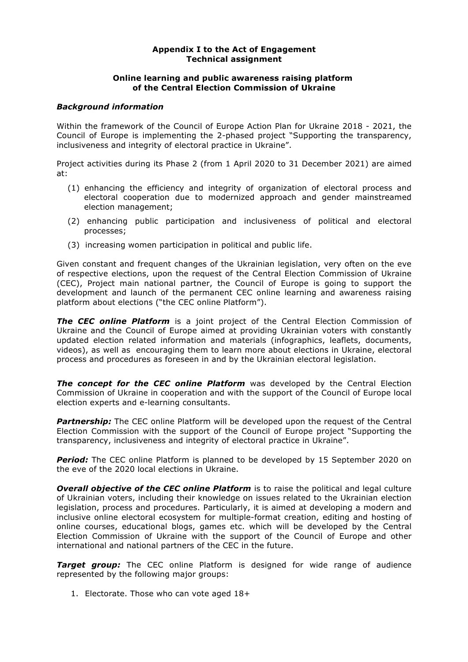#### **Appendix I to the Act of Engagement Technical assignment**

## **Online learning and public awareness raising platform of the Central Election Commission of Ukraine**

### *Background information*

Within the framework of the Council of Europe Action Plan for Ukraine 2018 - 2021, the Council of Europe is implementing the 2-phased project "Supporting the transparency, inclusiveness and integrity of electoral practice in Ukraine".

Project activities during its Phase 2 (from 1 April 2020 to 31 December 2021) are aimed at:

- (1) enhancing the efficiency and integrity of organization of electoral process and electoral cooperation due to modernized approach and gender mainstreamed election management;
- (2) enhancing public participation and inclusiveness of political and electoral processes;
- (3) increasing women participation in political and public life.

Given constant and frequent changes of the Ukrainian legislation, very often on the eve of respective elections, upon the request of the Central Election Commission of Ukraine (CEC), Project main national partner, the Council of Europe is going to support the development and launch of the permanent CEC online learning and awareness raising platform about elections ("the CEC online Platform").

*The CEC online Platform* is a joint project of the Central Election Commission of Ukraine and the Council of Europe aimed at providing Ukrainian voters with constantly updated election related information and materials (infographics, leaflets, documents, videos), as well as encouraging them to learn more about elections in Ukraine, electoral process and procedures as foreseen in and by the Ukrainian electoral legislation.

**The concept for the CEC online Platform** was developed by the Central Election Commission of Ukraine in cooperation and with the support of the Council of Europe local election experts and e-learning consultants.

**Partnership:** The CEC online Platform will be developed upon the request of the Central Election Commission with the support of the Council of Europe project "Supporting the transparency, inclusiveness and integrity of electoral practice in Ukraine".

**Period:** The CEC online Platform is planned to be developed by 15 September 2020 on the eve of the 2020 local elections in Ukraine.

**Overall objective of the CEC online Platform** is to raise the political and legal culture of Ukrainian voters, including their knowledge on issues related to the Ukrainian election legislation, process and procedures. Particularly, it is aimed at developing a modern and inclusive online electoral ecosystem for multiple-format creation, editing and hosting of online courses, educational blogs, games etc. which will be developed by the Central Election Commission of Ukraine with the support of the Council of Europe and other international and national partners of the CEC in the future.

**Target group:** The CEC online Platform is designed for wide range of audience represented by the following major groups:

1. Electorate. Those who can vote aged 18+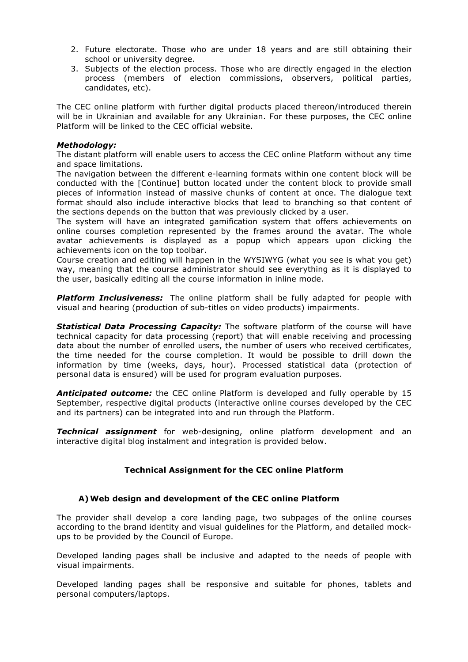- 2. Future electorate. Those who are under 18 years and are still obtaining their school or university degree.
- 3. Subjects of the election process. Those who are directly engaged in the election process (members of election commissions, observers, political parties, candidates, etc).

The CEC online platform with further digital products placed thereon/introduced therein will be in Ukrainian and available for any Ukrainian. For these purposes, the CEC online Platform will be linked to the CEC official website.

## *Methodology:*

The distant platform will enable users to access the CEC online Platform without any time and space limitations.

The navigation between the different e-learning formats within one content block will be conducted with the [Continue] button located under the content block to provide small pieces of information instead of massive chunks of content at once. The dialogue text format should also include interactive blocks that lead to branching so that content of the sections depends on the button that was previously clicked by a user.

The system will have an integrated gamification system that offers achievements on online courses completion represented by the frames around the avatar. The whole avatar achievements is displayed as a popup which appears upon clicking the achievements icon on the top toolbar.

Course creation and editing will happen in the WYSIWYG (what you see is what you get) way, meaning that the course administrator should see everything as it is displayed to the user, basically editing all the course information in inline mode.

*Platform Inclusiveness:* The online platform shall be fully adapted for people with visual and hearing (production of sub-titles on video products) impairments.

*Statistical Data Processing Capacity:* The software platform of the course will have technical capacity for data processing (report) that will enable receiving and processing data about the number of enrolled users, the number of users who received certificates, the time needed for the course completion. It would be possible to drill down the information by time (weeks, days, hour). Processed statistical data (protection of personal data is ensured) will be used for program evaluation purposes.

*Anticipated outcome:* the CEC online Platform is developed and fully operable by 15 September, respective digital products (interactive online courses developed by the CEC and its partners) can be integrated into and run through the Platform.

*Technical assignment* for web-designing, online platform development and an interactive digital blog instalment and integration is provided below.

## **Technical Assignment for the CEC online Platform**

## **A)Web design and development of the CEC online Platform**

The provider shall develop a core landing page, two subpages of the online courses according to the brand identity and visual guidelines for the Platform, and detailed mockups to be provided by the Council of Europe.

Developed landing pages shall be inclusive and adapted to the needs of people with visual impairments.

Developed landing pages shall be responsive and suitable for phones, tablets and personal computers/laptops.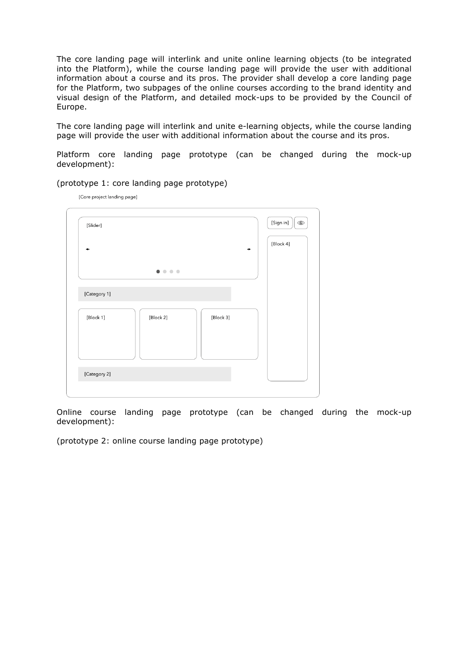The core landing page will interlink and unite online learning objects (to be integrated into the Platform), while the course landing page will provide the user with additional information about a course and its pros. The provider shall develop a core landing page for the Platform, two subpages of the online courses according to the brand identity and visual design of the Platform, and detailed mock-ups to be provided by the Council of Europe.

The core landing page will interlink and unite e-learning objects, while the course landing page will provide the user with additional information about the course and its pros.

Platform core landing page prototype (can be changed during the mock-up development):

| [Slider]     |                         | [Sign in]<br>$\bigcirc$ |
|--------------|-------------------------|-------------------------|
|              |                         | [Block 4]               |
|              | $\bullet\bullet\bullet$ |                         |
| [Category 1] |                         |                         |
| [Block 1]    | [Block 2]<br>[Block 3]  |                         |
|              |                         |                         |
|              |                         |                         |

(prototype 1: core landing page prototype)

[Core project landing page]

Online course landing page prototype (can be changed during the mock-up development):

(prototype 2: online course landing page prototype)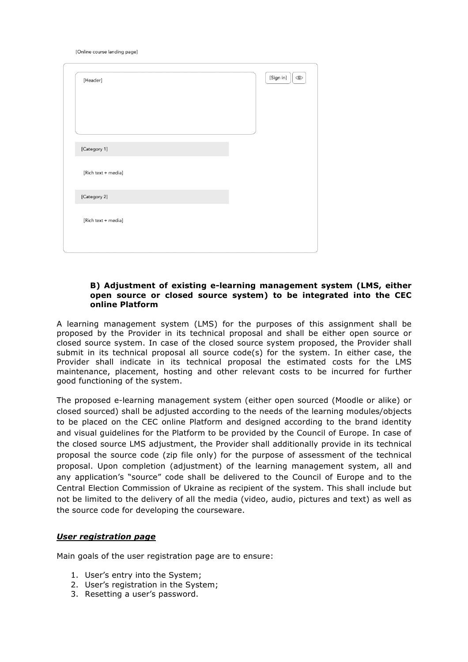[Online course landing page]

| [Header]            | [Sign in]<br>$\bigcirc$ |
|---------------------|-------------------------|
|                     |                         |
|                     |                         |
| [Category 1]        |                         |
| [Rich text + media] |                         |
| [Category 2]        |                         |
| [Rich text + media] |                         |
|                     |                         |

### **B) Adjustment of existing e-learning management system (LMS, either open source or closed source system) to be integrated into the CEC online Platform**

A learning management system (LMS) for the purposes of this assignment shall be proposed by the Provider in its technical proposal and shall be either open source or closed source system. In case of the closed source system proposed, the Provider shall submit in its technical proposal all source  $code(s)$  for the system. In either case, the Provider shall indicate in its technical proposal the estimated costs for the LMS maintenance, placement, hosting and other relevant costs to be incurred for further good functioning of the system.

The proposed e-learning management system (either open sourced (Moodle or alike) or closed sourced) shall be adjusted according to the needs of the learning modules/objects to be placed on the CEC online Platform and designed according to the brand identity and visual guidelines for the Platform to be provided by the Council of Europe. In case of the closed source LMS adjustment, the Provider shall additionally provide in its technical proposal the source code (zip file only) for the purpose of assessment of the technical proposal. Upon completion (adjustment) of the learning management system, all and any application's "source" code shall be delivered to the Council of Europe and to the Central Election Commission of Ukraine as recipient of the system. This shall include but not be limited to the delivery of all the media (video, audio, pictures and text) as well as the source code for developing the courseware.

## *User registration page*

Main goals of the user registration page are to ensure:

- 1. User's entry into the System;
- 2. User's registration in the System;
- 3. Resetting a user's password.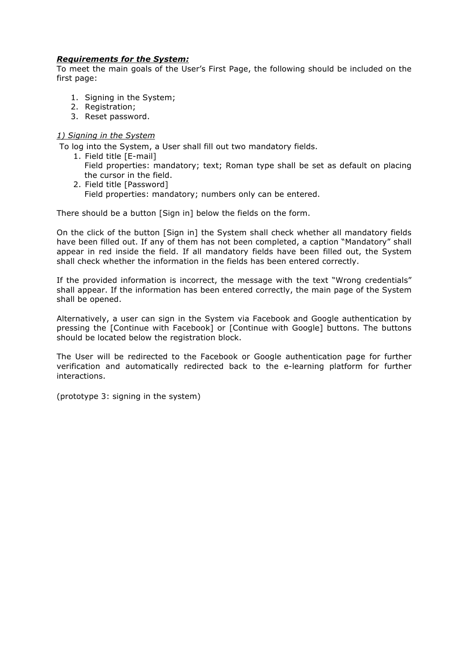## *Requirements for the System:*

To meet the main goals of the User's First Page, the following should be included on the first page:

- 1. Signing in the System;
- 2. Registration;
- 3. Reset password.

## *1) Signing in the System*

To log into the System, a User shall fill out two mandatory fields.

- 1. Field title [E-mail] Field properties: mandatory; text; Roman type shall be set as default on placing the cursor in the field.
- 2. Field title [Password] Field properties: mandatory; numbers only can be entered.

There should be a button [Sign in] below the fields on the form.

On the click of the button [Sign in] the System shall check whether all mandatory fields have been filled out. If any of them has not been completed, a caption "Mandatory" shall appear in red inside the field. If all mandatory fields have been filled out, the System shall check whether the information in the fields has been entered correctly.

If the provided information is incorrect, the message with the text "Wrong credentials" shall appear. If the information has been entered correctly, the main page of the System shall be opened.

Alternatively, a user can sign in the System via Facebook and Google authentication by pressing the [Continue with Facebook] or [Continue with Google] buttons. The buttons should be located below the registration block.

The User will be redirected to the Facebook or Google authentication page for further verification and automatically redirected back to the e-learning platform for further interactions.

(prototype 3: signing in the system)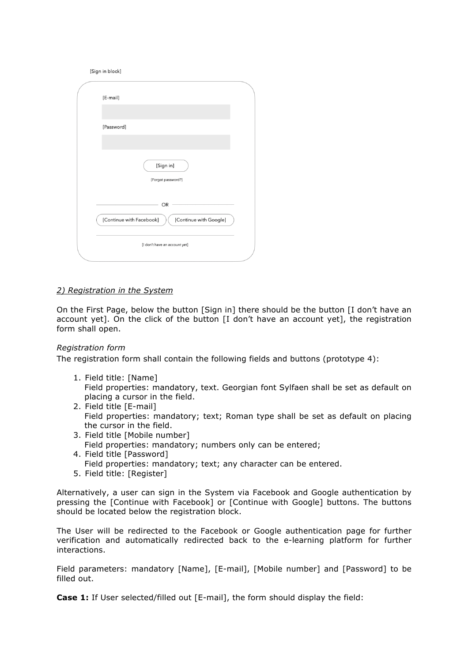| [Sign in block]                                    |
|----------------------------------------------------|
| [E-mail]                                           |
|                                                    |
| [Password]                                         |
|                                                    |
| [Sign in]                                          |
| [Forgot password?]                                 |
| OR                                                 |
| [Continue with Facebook]<br>[Continue with Google] |
| [I don't have an account yet]                      |

## *2) Registration in the System*

On the First Page, below the button [Sign in] there should be the button [I don't have an account yet]. On the click of the button [I don't have an account yet], the registration form shall open.

## *Registration form*

The registration form shall contain the following fields and buttons (prototype 4):

- 1. Field title: [Name] Field properties: mandatory, text. Georgian font Sylfaen shall be set as default on placing a cursor in the field.
- 2. Field title [E-mail] Field properties: mandatory; text; Roman type shall be set as default on placing the cursor in the field.
- 3. Field title [Mobile number] Field properties: mandatory; numbers only can be entered;
- 4. Field title [Password] Field properties: mandatory; text; any character can be entered.
- 5. Field title: [Register]

Alternatively, a user can sign in the System via Facebook and Google authentication by pressing the [Continue with Facebook] or [Continue with Google] buttons. The buttons should be located below the registration block.

The User will be redirected to the Facebook or Google authentication page for further verification and automatically redirected back to the e-learning platform for further interactions.

Field parameters: mandatory [Name], [E-mail], [Mobile number] and [Password] to be filled out.

**Case 1:** If User selected/filled out [E-mail], the form should display the field: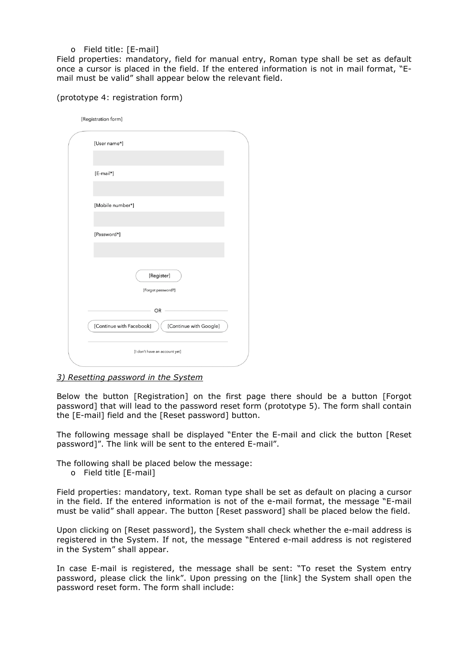## o Field title: [E-mail]

Field properties: mandatory, field for manual entry, Roman type shall be set as default once a cursor is placed in the field. If the entered information is not in mail format, "Email must be valid" shall appear below the relevant field.

| [Registration form]                                |
|----------------------------------------------------|
| [User name*]                                       |
|                                                    |
| [E-mail*]                                          |
|                                                    |
| [Mobile number*]                                   |
|                                                    |
| [Password*]                                        |
|                                                    |
| [Register]                                         |
| [Forgot password?]                                 |
| OR                                                 |
| [Continue with Facebook]<br>[Continue with Google] |
| [I don't have an account yet]                      |

(prototype 4: registration form)

## *3) Resetting password in the System*

Below the button [Registration] on the first page there should be a button [Forgot password] that will lead to the password reset form (prototype 5). The form shall contain the [E-mail] field and the [Reset password] button.

The following message shall be displayed "Enter the E-mail and click the button [Reset password]". The link will be sent to the entered E-mail".

The following shall be placed below the message:

o Field title [E-mail]

Field properties: mandatory, text. Roman type shall be set as default on placing a cursor in the field. If the entered information is not of the e-mail format, the message "E-mail must be valid" shall appear. The button [Reset password] shall be placed below the field.

Upon clicking on [Reset password], the System shall check whether the e-mail address is registered in the System. If not, the message "Entered e-mail address is not registered in the System" shall appear.

In case E-mail is registered, the message shall be sent: "To reset the System entry password, please click the link". Upon pressing on the [link] the System shall open the password reset form. The form shall include: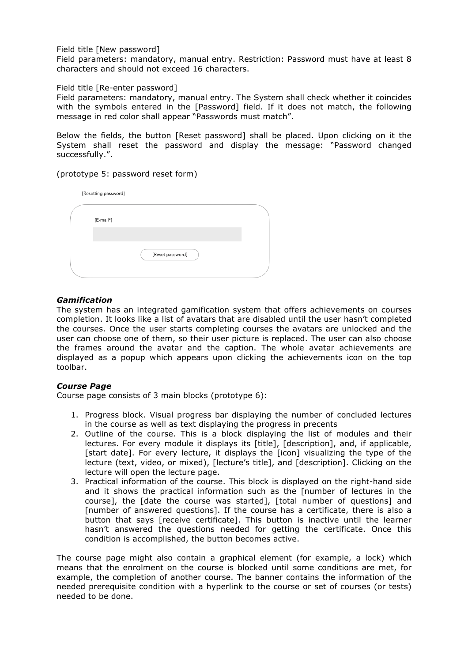### Field title [New password]

Field parameters: mandatory, manual entry. Restriction: Password must have at least 8 characters and should not exceed 16 characters.

#### Field title [Re-enter password]

Field parameters: mandatory, manual entry. The System shall check whether it coincides with the symbols entered in the [Password] field. If it does not match, the following message in red color shall appear "Passwords must match".

Below the fields, the button [Reset password] shall be placed. Upon clicking on it the System shall reset the password and display the message: "Password changed successfully.".

### (prototype 5: password reset form)

| [Resetting password] |                  |  |
|----------------------|------------------|--|
| [E-mail*]            |                  |  |
|                      |                  |  |
|                      | [Reset password] |  |

## *Gamification*

The system has an integrated gamification system that offers achievements on courses completion. It looks like a list of avatars that are disabled until the user hasn't completed the courses. Once the user starts completing courses the avatars are unlocked and the user can choose one of them, so their user picture is replaced. The user can also choose the frames around the avatar and the caption. The whole avatar achievements are displayed as a popup which appears upon clicking the achievements icon on the top toolbar.

## *Course Page*

Course page consists of 3 main blocks (prototype 6):

- 1. Progress block. Visual progress bar displaying the number of concluded lectures in the course as well as text displaying the progress in precents
- 2. Outline of the course. This is a block displaying the list of modules and their lectures. For every module it displays its [title], [description], and, if applicable, [start date]. For every lecture, it displays the [icon] visualizing the type of the lecture (text, video, or mixed), [lecture's title], and [description]. Clicking on the lecture will open the lecture page.
- 3. Practical information of the course. This block is displayed on the right-hand side and it shows the practical information such as the [number of lectures in the course], the [date the course was started], [total number of questions] and [number of answered questions]. If the course has a certificate, there is also a button that says [receive certificate]. This button is inactive until the learner hasn't answered the questions needed for getting the certificate. Once this condition is accomplished, the button becomes active.

The course page might also contain a graphical element (for example, a lock) which means that the enrolment on the course is blocked until some conditions are met, for example, the completion of another course. The banner contains the information of the needed prerequisite condition with a hyperlink to the course or set of courses (or tests) needed to be done.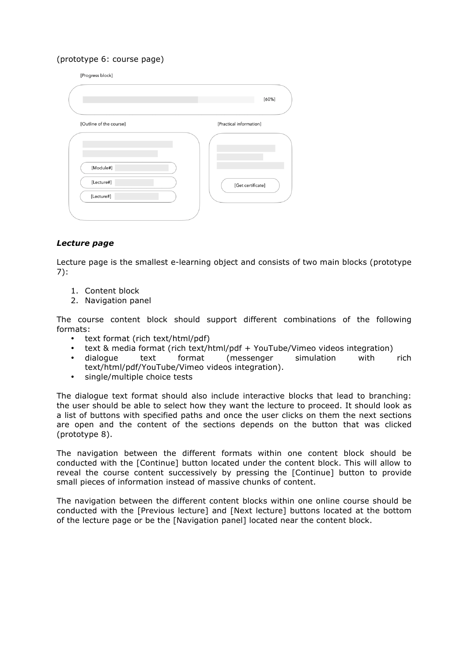## (prototype 6: course page)

[Progress block]

| [Practical information] |
|-------------------------|
| [Get certificate]       |
|                         |

## *Lecture page*

Lecture page is the smallest e-learning object and consists of two main blocks (prototype 7):

- 1. Content block
- 2. Navigation panel

The course content block should support different combinations of the following formats:

- text format (rich text/html/pdf)
- text & media format (rich text/html/pdf + YouTube/Vimeo videos integration)<br>dialoque text format (messenger simulation with
- dialogue text format (messenger simulation with rich text/html/pdf/YouTube/Vimeo videos integration).
- single/multiple choice tests

The dialogue text format should also include interactive blocks that lead to branching: the user should be able to select how they want the lecture to proceed. It should look as a list of buttons with specified paths and once the user clicks on them the next sections are open and the content of the sections depends on the button that was clicked (prototype 8).

The navigation between the different formats within one content block should be conducted with the [Continue] button located under the content block. This will allow to reveal the course content successively by pressing the [Continue] button to provide small pieces of information instead of massive chunks of content.

The navigation between the different content blocks within one online course should be conducted with the [Previous lecture] and [Next lecture] buttons located at the bottom of the lecture page or be the [Navigation panel] located near the content block.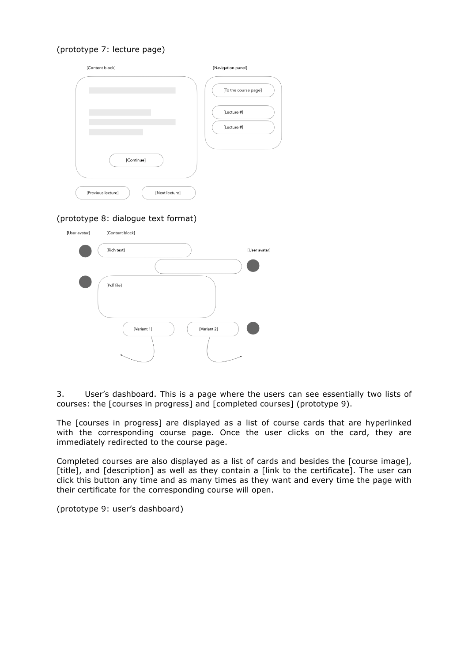# (prototype 7: lecture page)

| [Content block]                      | [Navigation panel]   |
|--------------------------------------|----------------------|
|                                      | [To the course page] |
|                                      | [Lecture #]          |
|                                      | [Lecture #]          |
| [Continue]                           |                      |
| [Previous lecture]<br>[Next lecture] |                      |

## (prototype 8: dialogue text format)



3. User's dashboard. This is a page where the users can see essentially two lists of courses: the [courses in progress] and [completed courses] (prototype 9).

The [courses in progress] are displayed as a list of course cards that are hyperlinked with the corresponding course page. Once the user clicks on the card, they are immediately redirected to the course page.

Completed courses are also displayed as a list of cards and besides the [course image], [title], and [description] as well as they contain a [link to the certificate]. The user can click this button any time and as many times as they want and every time the page with their certificate for the corresponding course will open.

(prototype 9: user's dashboard)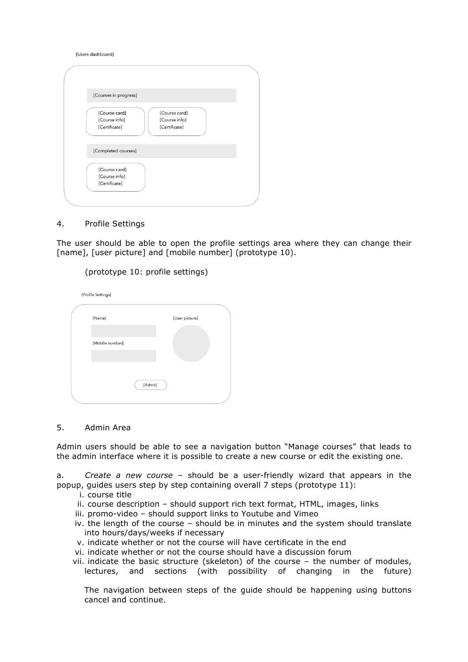Illsers dashboardl

| [Courses in progress]                                                                              |  |
|----------------------------------------------------------------------------------------------------|--|
| [Course card]<br>[Course card]<br>[Course info]<br>[Course info]<br>[Certificate]<br>[Certificate] |  |
| [Completed courses]                                                                                |  |
| [Course card]<br>[Course info]<br>[Certificate]                                                    |  |
|                                                                                                    |  |

#### 4. Profile Settings

The user should be able to open the profile settings area where they can change their [name], [user picture] and [mobile number] (prototype 10).

## (prototype 10: profile settings)

[Profile Settings]

| [Name]          |         | [User picture] |  |
|-----------------|---------|----------------|--|
|                 |         |                |  |
| [Mobile number] |         |                |  |
|                 |         |                |  |
|                 |         |                |  |
|                 | [Admit] |                |  |
|                 |         |                |  |

## 5. Admin Area

Admin users should be able to see a navigation button "Manage courses" that leads to the admin interface where it is possible to create a new course or edit the existing one.

a. *Create a new course* – should be a user-friendly wizard that appears in the popup, guides users step by step containing overall 7 steps (prototype 11):

- i. course title
- ii. course description should support rich text format, HTML, images, links
- iii. promo-video should support links to Youtube and Vimeo
- iv. the length of the course should be in minutes and the system should translate into hours/days/weeks if necessary
- v. indicate whether or not the course will have certificate in the end
- vi. indicate whether or not the course should have a discussion forum
- vii. indicate the basic structure (skeleton) of the course the number of modules, lectures, and sections (with possibility of changing in the future)

The navigation between steps of the guide should be happening using buttons cancel and continue.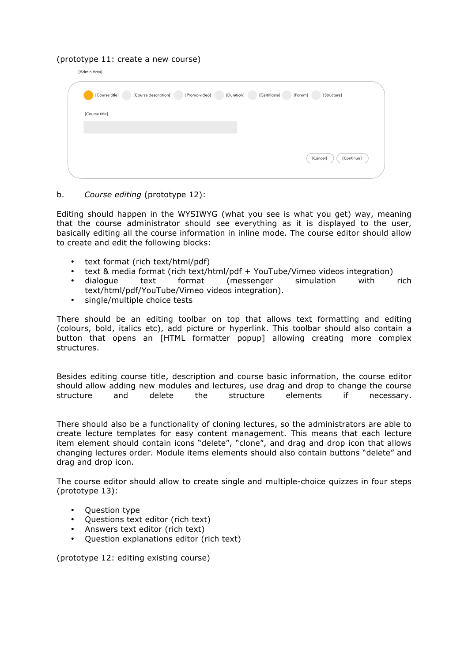### (prototype 11: create a new course)

|                | [Course title] | [Course description] | [Promo-video] | [Duration] | [Certificate] | [Forum]<br>[Structure] |
|----------------|----------------|----------------------|---------------|------------|---------------|------------------------|
| [Course title] |                |                      |               |            |               |                        |
|                |                |                      |               |            |               |                        |
|                |                |                      |               |            |               | [Cancel]<br>[Continue] |

### b. *Course editing* (prototype 12):

Editing should happen in the WYSIWYG (what you see is what you get) way, meaning that the course administrator should see everything as it is displayed to the user, basically editing all the course information in inline mode. The course editor should allow to create and edit the following blocks:

- text format (rich text/html/pdf)
- text & media format (rich text/html/pdf + YouTube/Vimeo videos integration)<br>dialoque text format (messenger simulation with
- (messenger simulation with rich text/html/pdf/YouTube/Vimeo videos integration).
- single/multiple choice tests

There should be an editing toolbar on top that allows text formatting and editing (colours, bold, italics etc), add picture or hyperlink. This toolbar should also contain a button that opens an [HTML formatter popup] allowing creating more complex structures.

Besides editing course title, description and course basic information, the course editor should allow adding new modules and lectures, use drag and drop to change the course structure and delete the structure elements if necessary.

There should also be a functionality of cloning lectures, so the administrators are able to create lecture templates for easy content management. This means that each lecture item element should contain icons "delete", "clone", and drag and drop icon that allows changing lectures order. Module items elements should also contain buttons "delete" and drag and drop icon.

The course editor should allow to create single and multiple-choice quizzes in four steps (prototype 13):

- Question type
- Questions text editor (rich text)
- Answers text editor (rich text)
- Question explanations editor (rich text)

(prototype 12: editing existing course)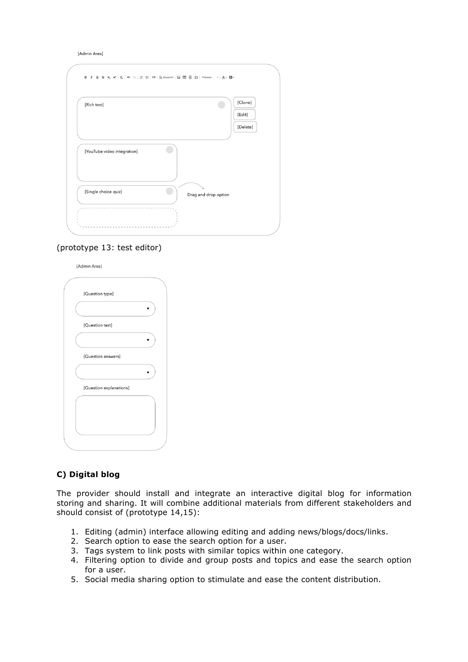[Admin Area]

| [Rich text]                 | [Clone]<br>[Edit]    |
|-----------------------------|----------------------|
|                             | [Delete]             |
| [YouTube video integration] |                      |
| [Single choice quiz]        | Drag and drop option |

### (prototype 13: test editor)

[Admin Area]

| [Question type]         |  |
|-------------------------|--|
|                         |  |
| [Question text]         |  |
|                         |  |
| [Question answers]      |  |
|                         |  |
| [Question explanations] |  |
|                         |  |
|                         |  |
|                         |  |
|                         |  |

## **C) Digital blog**

The provider should install and integrate an interactive digital blog for information storing and sharing. It will combine additional materials from different stakeholders and should consist of (prototype 14,15):

- 1. Editing (admin) interface allowing editing and adding news/blogs/docs/links.
- 2. Search option to ease the search option for a user.
- 3. Tags system to link posts with similar topics within one category.
- 4. Filtering option to divide and group posts and topics and ease the search option for a user.
- 5. Social media sharing option to stimulate and ease the content distribution.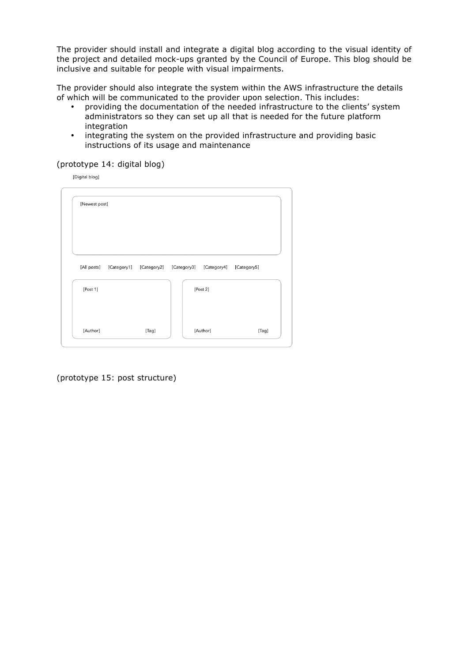The provider should install and integrate a digital blog according to the visual identity of the project and detailed mock-ups granted by the Council of Europe. This blog should be inclusive and suitable for people with visual impairments.

The provider should also integrate the system within the AWS infrastructure the details of which will be communicated to the provider upon selection. This includes:<br>• providing the documentation of the needed infrastructure to the client

- providing the documentation of the needed infrastructure to the clients' system administrators so they can set up all that is needed for the future platform integration
- integrating the system on the provided infrastructure and providing basic instructions of its usage and maintenance

### (prototype 14: digital blog)

[Digital blog]

| [Newest post] |  |                                                 |             |
|---------------|--|-------------------------------------------------|-------------|
| [All posts]   |  | [Category1] [Category2] [Category3] [Category4] | [Category5] |
| [Post 1]      |  | [Post 2]                                        |             |
|               |  | [Author]                                        | [Tag]       |

(prototype 15: post structure)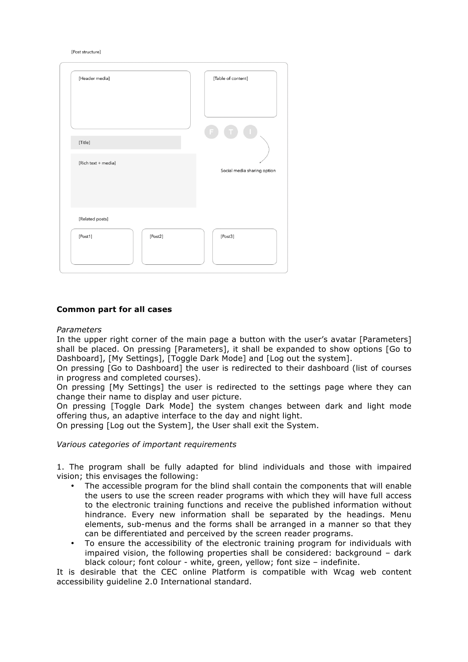[Post structure]

| [Header media]      | [Table of content]          |
|---------------------|-----------------------------|
|                     |                             |
| [Title]             |                             |
| [Rich text + media] | Social media sharing option |
| [Related posts]     |                             |
| [Post2]<br>[Post1]  | [Post3]                     |

## **Common part for all cases**

#### *Parameters*

In the upper right corner of the main page a button with the user's avatar [Parameters] shall be placed. On pressing [Parameters], it shall be expanded to show options [Go to Dashboard], [My Settings], [Toggle Dark Mode] and [Log out the system].

On pressing [Go to Dashboard] the user is redirected to their dashboard (list of courses in progress and completed courses).

On pressing [My Settings] the user is redirected to the settings page where they can change their name to display and user picture.

On pressing [Toggle Dark Mode] the system changes between dark and light mode offering thus, an adaptive interface to the day and night light.

On pressing [Log out the System], the User shall exit the System.

#### *Various categories of important requirements*

1. The program shall be fully adapted for blind individuals and those with impaired vision; this envisages the following:

- The accessible program for the blind shall contain the components that will enable the users to use the screen reader programs with which they will have full access to the electronic training functions and receive the published information without hindrance. Every new information shall be separated by the headings. Menu elements, sub-menus and the forms shall be arranged in a manner so that they can be differentiated and perceived by the screen reader programs.
- To ensure the accessibility of the electronic training program for individuals with impaired vision, the following properties shall be considered: background – dark black colour; font colour - white, green, yellow; font size – indefinite.

It is desirable that the CEC online Platform is compatible with Wcag web content accessibility guideline 2.0 International standard.